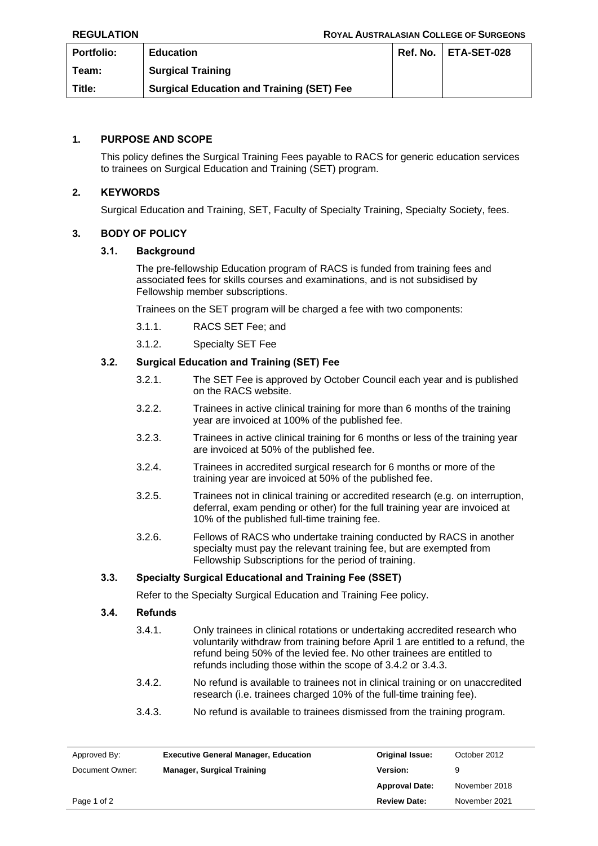| <b>Portfolio:</b> | <b>Education</b>                                 | Ref. No. I | ETA-SET-028 |
|-------------------|--------------------------------------------------|------------|-------------|
| Team:             | <b>Surgical Training</b>                         |            |             |
| Title:            | <b>Surgical Education and Training (SET) Fee</b> |            |             |

# **1. PURPOSE AND SCOPE**

This policy defines the Surgical Training Fees payable to RACS for generic education services to trainees on Surgical Education and Training (SET) program.

## **2. KEYWORDS**

Surgical Education and Training, SET, Faculty of Specialty Training, Specialty Society, fees.

### **3. BODY OF POLICY**

### **3.1. Background**

The pre-fellowship Education program of RACS is funded from training fees and associated fees for skills courses and examinations, and is not subsidised by Fellowship member subscriptions.

Trainees on the SET program will be charged a fee with two components:

- 3.1.1. RACS SET Fee; and
- 3.1.2. Specialty SET Fee

## **3.2. Surgical Education and Training (SET) Fee**

- 3.2.1. The SET Fee is approved by October Council each year and is published on the RACS website.
- 3.2.2. Trainees in active clinical training for more than 6 months of the training year are invoiced at 100% of the published fee.
- 3.2.3. Trainees in active clinical training for 6 months or less of the training year are invoiced at 50% of the published fee.
- 3.2.4. Trainees in accredited surgical research for 6 months or more of the training year are invoiced at 50% of the published fee.
- 3.2.5. Trainees not in clinical training or accredited research (e.g. on interruption, deferral, exam pending or other) for the full training year are invoiced at 10% of the published full-time training fee.
- 3.2.6. Fellows of RACS who undertake training conducted by RACS in another specialty must pay the relevant training fee, but are exempted from Fellowship Subscriptions for the period of training.

### **3.3. Specialty Surgical Educational and Training Fee (SSET)**

Refer to the Specialty Surgical Education and Training Fee policy.

## **3.4. Refunds**

- 3.4.1. Only trainees in clinical rotations or undertaking accredited research who voluntarily withdraw from training before April 1 are entitled to a refund, the refund being 50% of the levied fee. No other trainees are entitled to refunds including those within the scope of 3.4.2 or 3.4.3.
- 3.4.2. No refund is available to trainees not in clinical training or on unaccredited research (i.e. trainees charged 10% of the full-time training fee).
- 3.4.3. No refund is available to trainees dismissed from the training program.

| Approved By:    | <b>Executive General Manager, Education</b> | <b>Original Issue:</b> | October 2012  |
|-----------------|---------------------------------------------|------------------------|---------------|
| Document Owner: | <b>Manager, Surgical Training</b>           | <b>Version:</b>        | 9             |
|                 |                                             | <b>Approval Date:</b>  | November 2018 |
| Page 1 of 2     |                                             | <b>Review Date:</b>    | November 2021 |